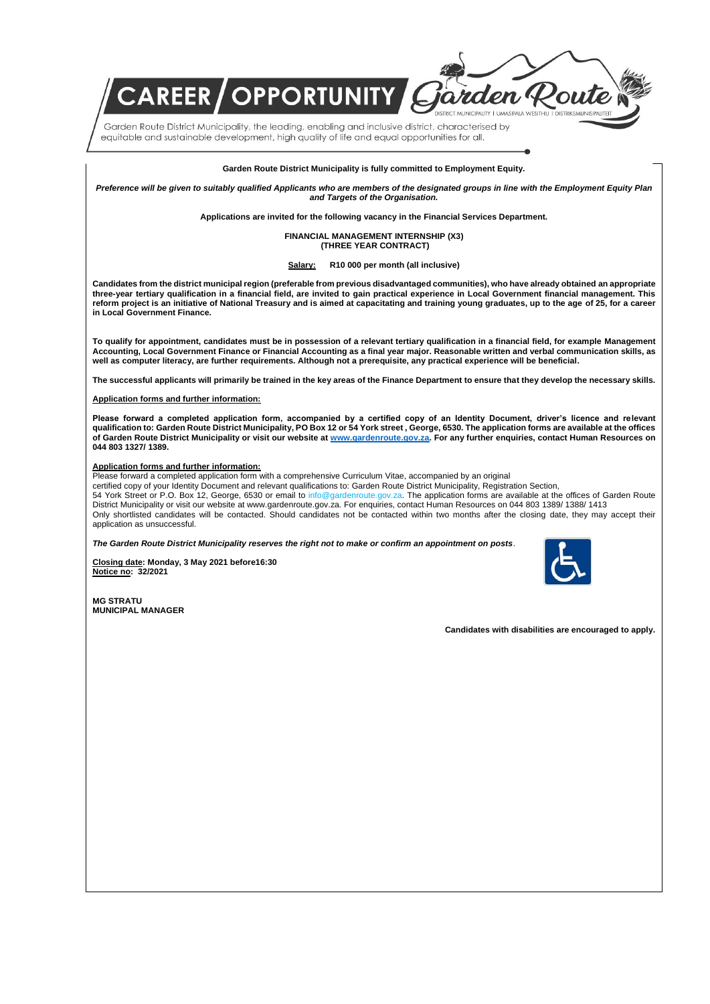Garden Route District Municipality, the leading, enabling and inclusive district, characterised by equitable and sustainable development, high quality of life and equal opportunities for all.

**REER / OPPORTUNITY /** 

## **Garden Route District Municipality is fully committed to Employment Equity.**

*Preference will be given to suitably qualified Applicants who are members of the designated groups in line with the Employment Equity Plan and Targets of the Organisation.*

**Applications are invited for the following vacancy in the Financial Services Department.**

**FINANCIAL MANAGEMENT INTERNSHIP (X3) (THREE YEAR CONTRACT)**

## **Salary: R10 000 per month (all inclusive)**

**Candidates from the district municipal region (preferable from previous disadvantaged communities), who have already obtained an appropriate three-year tertiary qualification in a financial field, are invited to gain practical experience in Local Government financial management. This reform project is an initiative of National Treasury and is aimed at capacitating and training young graduates, up to the age of 25, for a career in Local Government Finance.**

**To qualify for appointment, candidates must be in possession of a relevant tertiary qualification in a financial field, for example Management Accounting, Local Government Finance or Financial Accounting as a final year major. Reasonable written and verbal communication skills, as well as computer literacy, are further requirements. Although not a prerequisite, any practical experience will be beneficial.**

**The successful applicants will primarily be trained in the key areas of the Finance Department to ensure that they develop the necessary skills.**

## **Application forms and further information:**

**Please forward a completed application form, accompanied by a certified copy of an Identity Document, driver's licence and relevant qualification to: Garden Route District Municipality, PO Box 12 or 54 York street , George, 6530. The application forms are available at the offices of Garden Route District Municipality or visit our website a[t www.gardenroute.gov.za.](http://www.gardenroute.gov.za/) For any further enquiries, contact Human Resources on 044 803 1327/ 1389.**

## **Application forms and further information:**

Please forward a completed application form with a comprehensive Curriculum Vitae, accompanied by an original

certified copy of your Identity Document and relevant qualifications to: Garden Route District Municipality, Registration Section,

54 York Street or P.O. Box 12, George, 6530 or email to info@gardenroute.gov.za. The application forms are available at the offices of Garden Route District Municipality or visit our website at www.gardenroute.gov.za. For enquiries, contact Human Resources on 044 803 1389/ 1388/ 1413 Only shortlisted candidates will be contacted. Should candidates not be contacted within two months after the closing date, they may accept their application as unsuccessful.

*The Garden Route District Municipality reserves the right not to make or confirm an appointment on posts*.

**Closing date: Monday, 3 May 2021 before16:30 Notice no: 32/2021**



**MG STRATU MUNICIPAL MANAGER** 

**Candidates with disabilities are encouraged to apply.**